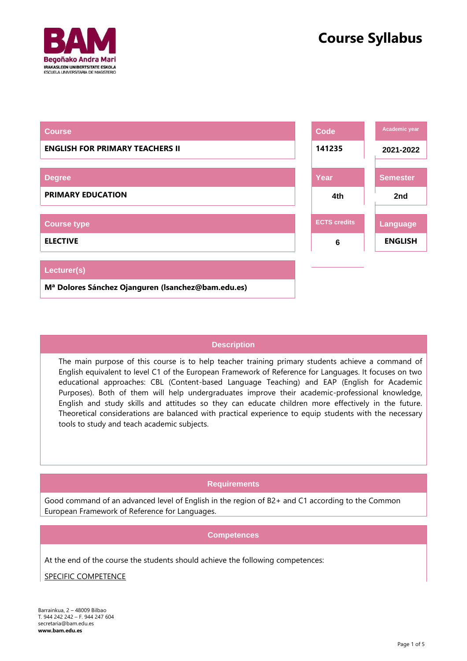



| <b>Course</b>                                                  | Code                | Academic year   |
|----------------------------------------------------------------|---------------------|-----------------|
| <b>ENGLISH FOR PRIMARY TEACHERS II</b>                         | 141235              | 2021-2022       |
|                                                                |                     |                 |
| <b>Degree</b>                                                  | Year                | <b>Semester</b> |
| <b>PRIMARY EDUCATION</b>                                       | 4th                 | 2nd             |
|                                                                |                     |                 |
| <b>Course type</b>                                             | <b>ECTS credits</b> | Language        |
| <b>ELECTIVE</b>                                                | 6                   | <b>ENGLISH</b>  |
|                                                                |                     |                 |
| Lecturer(s)                                                    |                     |                 |
| M <sup>a</sup> Dolores Sánchez Ojanguren (Isanchez@bam.edu.es) |                     |                 |

# **Description**

The main purpose of this course is to help teacher training primary students achieve a command of English equivalent to level C1 of the European Framework of Reference for Languages. It focuses on two educational approaches: CBL (Content-based Language Teaching) and EAP (English for Academic Purposes). Both of them will help undergraduates improve their academic-professional knowledge, English and study skills and attitudes so they can educate children more effectively in the future. Theoretical considerations are balanced with practical experience to equip students with the necessary tools to study and teach academic subjects.

# **Requirements**

Good command of an advanced level of English in the region of B2+ and C1 according to the Common European Framework of Reference for Languages.

### **Competences**

At the end of the course the students should achieve the following competences:

SPECIFIC COMPETENCE

Barrainkua, 2 – 48009 Bilbao T. 944 242 242 – F. 944 247 604 [secretaria@bam.edu.es](mailto:secretaria@bam.edu.es) **[www.bam.edu.es](http://www.bam.edu.es/)**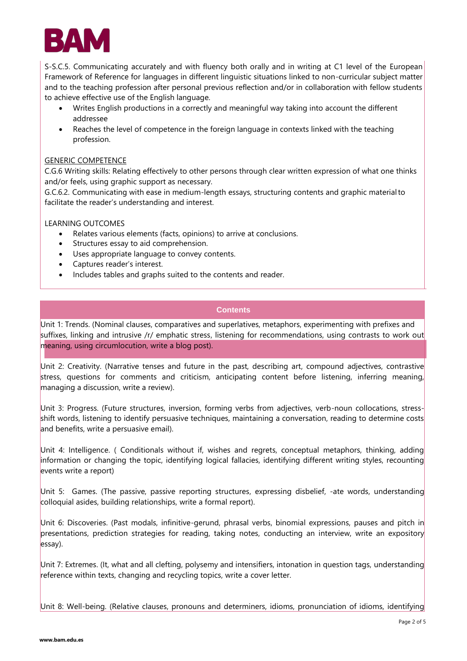

S-S.C.5. Communicating accurately and with fluency both orally and in writing at C1 level of the European Framework of Reference for languages in different linguistic situations linked to non-curricular subject matter and to the teaching profession after personal previous reflection and/or in collaboration with fellow students to achieve effective use of the English language.

- Writes English productions in a correctly and meaningful way taking into account the different addressee
- Reaches the level of competence in the foreign language in contexts linked with the teaching profession.

### GENERIC COMPETENCE

C.G.6 Writing skills: Relating effectively to other persons through clear written expression of what one thinks and/or feels, using graphic support as necessary.

G.C.6.2. Communicating with ease in medium-length essays, structuring contents and graphic materialto facilitate the reader's understanding and interest.

LEARNING OUTCOMES

- Relates various elements (facts, opinions) to arrive at conclusions.
- Structures essay to aid comprehension.
- Uses appropriate language to convey contents.
- Captures reader's interest.
- Includes tables and graphs suited to the contents and reader.

# **Contents**

Unit 1: Trends. (Nominal clauses, comparatives and superlatives, metaphors, experimenting with prefixes and suffixes, linking and intrusive /r/ emphatic stress, listening for recommendations, using contrasts to work out meaning, using circumlocution, write a blog post).

Unit 2: Creativity. (Narrative tenses and future in the past, describing art, compound adjectives, contrastive stress, questions for comments and criticism, anticipating content before listening, inferring meaning, managing a discussion, write a review).

Unit 3: Progress. (Future structures, inversion, forming verbs from adjectives, verb-noun collocations, stressshift words, listening to identify persuasive techniques, maintaining a conversation, reading to determine costs and benefits, write a persuasive email).

Unit 4: Intelligence. ( Conditionals without if, wishes and regrets, conceptual metaphors, thinking, adding information or changing the topic, identifying logical fallacies, identifying different writing styles, recounting events write a report)

Unit 5: Games. (The passive, passive reporting structures, expressing disbelief, -ate words, understanding colloquial asides, building relationships, write a formal report).

Unit 6: Discoveries. (Past modals, infinitive-gerund, phrasal verbs, binomial expressions, pauses and pitch in presentations, prediction strategies for reading, taking notes, conducting an interview, write an expository essay).

Unit 7: Extremes. (It, what and all clefting, polysemy and intensifiers, intonation in question tags, understanding reference within texts, changing and recycling topics, write a cover letter.

Unit 8: Well-being. (Relative clauses, pronouns and determiners, idioms, pronunciation of idioms, identifying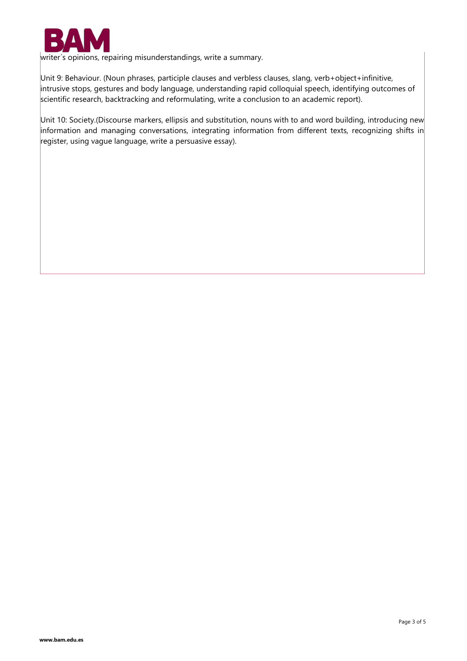

writer´s opinions, repairing misunderstandings, write a summary.

Unit 9: Behaviour. (Noun phrases, participle clauses and verbless clauses, slang, verb+object+infinitive, intrusive stops, gestures and body language, understanding rapid colloquial speech, identifying outcomes of scientific research, backtracking and reformulating, write a conclusion to an academic report).

Unit 10: Society.(Discourse markers, ellipsis and substitution, nouns with to and word building, introducing new information and managing conversations, integrating information from different texts, recognizing shifts in register, using vague language, write a persuasive essay).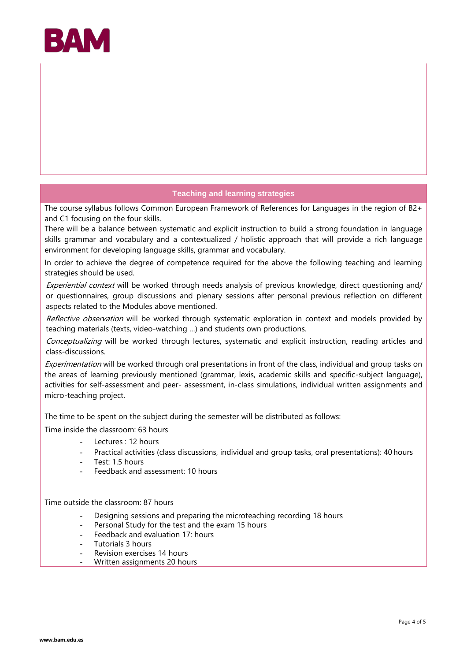

# **Teaching and learning strategies**

The course syllabus follows Common European Framework of References for Languages in the region of B2+ and C1 focusing on the four skills.

There will be a balance between systematic and explicit instruction to build a strong foundation in language skills grammar and vocabulary and a contextualized / holistic approach that will provide a rich language environment for developing language skills, grammar and vocabulary.

In order to achieve the degree of competence required for the above the following teaching and learning strategies should be used.

Experiential context will be worked through needs analysis of previous knowledge, direct questioning and/ or questionnaires, group discussions and plenary sessions after personal previous reflection on different aspects related to the Modules above mentioned.

Reflective observation will be worked through systematic exploration in context and models provided by teaching materials (texts, video-watching …) and students own productions.

Conceptualizing will be worked through lectures, systematic and explicit instruction, reading articles and class-discussions.

Experimentation will be worked through oral presentations in front of the class, individual and group tasks on the areas of learning previously mentioned (grammar, lexis, academic skills and specific-subject language), activities for self-assessment and peer- assessment, in-class simulations, individual written assignments and micro-teaching project.

The time to be spent on the subject during the semester will be distributed as follows:

Time inside the classroom: 63 hours

- Lectures : 12 hours
- Practical activities (class discussions, individual and group tasks, oral presentations): 40 hours
- Test: 1.5 hours
- Feedback and assessment: 10 hours

Time outside the classroom: 87 hours

- Designing sessions and preparing the microteaching recording 18 hours
- Personal Study for the test and the exam 15 hours
- Feedback and evaluation 17: hours
- Tutorials 3 hours
- Revision exercises 14 hours
- Written assignments 20 hours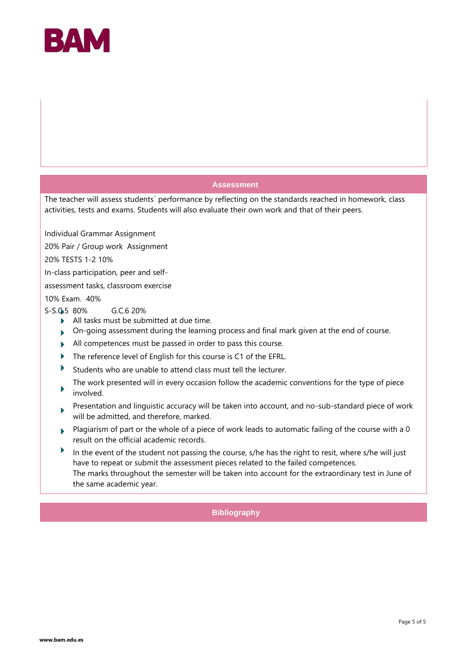

### **Assessment**

The teacher will assess students´ performance by reflecting on the standards reached in homework, class activities, tests and exams. Students will also evaluate their own work and that of their peers.

Individual Grammar Assignment

20% Pair / Group work Assignment

20% TESTS 1-2 10%

In-class participation, peer and self-

assessment tasks, classroom exercise

10% Exam. 40%

S-S.C.5 80% G.C.6 20%

- All tasks must be submitted at due time.
- On-going assessment during the learning process and final mark given at the end of course.
- All competences must be passed in order to pass this course.
- The reference level of English for this course is C1 of the EFRL. ь
- Students who are unable to attend class must tell the lecturer.
- The work presented will in every occasion follow the academic conventions for the type of piece involved.
- Presentation and linguistic accuracy will be taken into account, and no-sub-standard piece of work will be admitted, and therefore, marked.
- Plagiarism of part or the whole of a piece of work leads to automatic failing of the course with a 0 result on the official academic records.
- Þ In the event of the student not passing the course, s/he has the right to resit, where s/he will just have to repeat or submit the assessment pieces related to the failed competences. The marks throughout the semester will be taken into account for the extraordinary test in June of the same academic year.

**Bibliography**